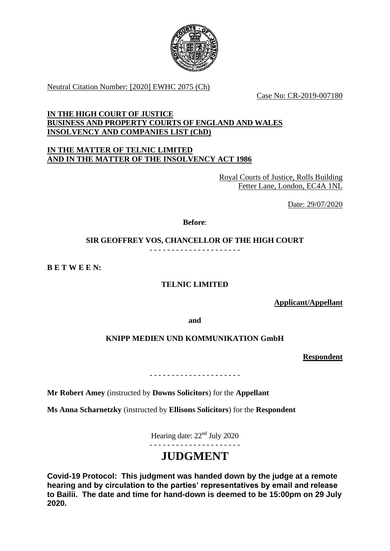

Neutral Citation Number: [2020] EWHC 2075 (Ch)

Case No: CR-2019-007180

## **IN THE HIGH COURT OF JUSTICE BUSINESS AND PROPERTY COURTS OF ENGLAND AND WALES INSOLVENCY AND COMPANIES LIST (ChD)**

## **IN THE MATTER OF TELNIC LIMITED AND IN THE MATTER OF THE INSOLVENCY ACT 1986**

Royal Courts of Justice, Rolls Building Fetter Lane, London, EC4A 1NL

Date: 29/07/2020

**Before**:

# **SIR GEOFFREY VOS, CHANCELLOR OF THE HIGH COURT**

- - - - - - - - - - - - - - - - - - - - -

**B E T W E E N:**

# **TELNIC LIMITED**

**Applicant/Appellant**

**and**

## **KNIPP MEDIEN UND KOMMUNIKATION GmbH**

**Respondent**

- - - - - - - - - - - - - - - - - - - - -

**Mr Robert Amey** (instructed by **Downs Solicitors**) for the **Appellant**

**Ms Anna Scharnetzky** (instructed by **Ellisons Solicitors**) for the **Respondent**

Hearing date: 22nd July 2020

- - - - - - - - - - - - - - - - - - - - -

# **JUDGMENT**

**Covid-19 Protocol: This judgment was handed down by the judge at a remote hearing and by circulation to the parties' representatives by email and release to Bailii. The date and time for hand-down is deemed to be 15:00pm on 29 July 2020.**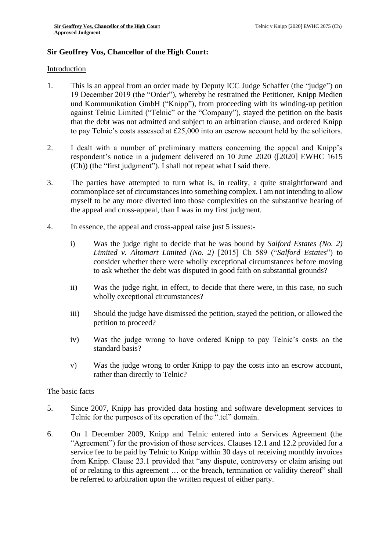## **Sir Geoffrey Vos, Chancellor of the High Court:**

#### Introduction

- 1. This is an appeal from an order made by Deputy ICC Judge Schaffer (the "judge") on 19 December 2019 (the "Order"), whereby he restrained the Petitioner, Knipp Medien und Kommunikation GmbH ("Knipp"), from proceeding with its winding-up petition against Telnic Limited ("Telnic" or the "Company"), stayed the petition on the basis that the debt was not admitted and subject to an arbitration clause, and ordered Knipp to pay Telnic's costs assessed at £25,000 into an escrow account held by the solicitors.
- 2. I dealt with a number of preliminary matters concerning the appeal and Knipp's respondent's notice in a judgment delivered on 10 June 2020 ([2020] EWHC 1615 (Ch)) (the "first judgment"). I shall not repeat what I said there.
- 3. The parties have attempted to turn what is, in reality, a quite straightforward and commonplace set of circumstances into something complex. I am not intending to allow myself to be any more diverted into those complexities on the substantive hearing of the appeal and cross-appeal, than I was in my first judgment.
- 4. In essence, the appeal and cross-appeal raise just 5 issues:
	- i) Was the judge right to decide that he was bound by *Salford Estates (No. 2) Limited v. Altomart Limited (No. 2)* [2015] Ch 589 ("*Salford Estates*") to consider whether there were wholly exceptional circumstances before moving to ask whether the debt was disputed in good faith on substantial grounds?
	- ii) Was the judge right, in effect, to decide that there were, in this case, no such wholly exceptional circumstances?
	- iii) Should the judge have dismissed the petition, stayed the petition, or allowed the petition to proceed?
	- iv) Was the judge wrong to have ordered Knipp to pay Telnic's costs on the standard basis?
	- v) Was the judge wrong to order Knipp to pay the costs into an escrow account, rather than directly to Telnic?

#### The basic facts

- 5. Since 2007, Knipp has provided data hosting and software development services to Telnic for the purposes of its operation of the ".tel" domain.
- 6. On 1 December 2009, Knipp and Telnic entered into a Services Agreement (the "Agreement") for the provision of those services. Clauses 12.1 and 12.2 provided for a service fee to be paid by Telnic to Knipp within 30 days of receiving monthly invoices from Knipp. Clause 23.1 provided that "any dispute, controversy or claim arising out of or relating to this agreement … or the breach, termination or validity thereof" shall be referred to arbitration upon the written request of either party.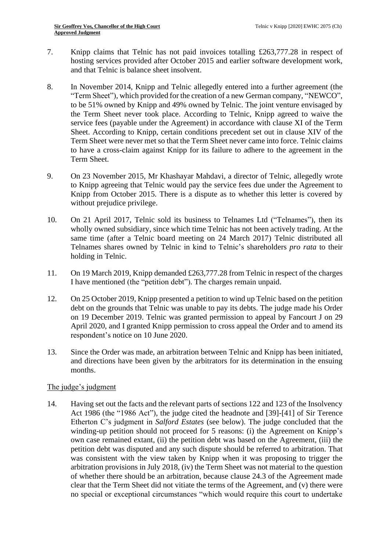- 7. Knipp claims that Telnic has not paid invoices totalling £263,777.28 in respect of hosting services provided after October 2015 and earlier software development work, and that Telnic is balance sheet insolvent.
- 8. In November 2014, Knipp and Telnic allegedly entered into a further agreement (the "Term Sheet"), which provided for the creation of a new German company, "NEWCO", to be 51% owned by Knipp and 49% owned by Telnic. The joint venture envisaged by the Term Sheet never took place. According to Telnic, Knipp agreed to waive the service fees (payable under the Agreement) in accordance with clause XI of the Term Sheet. According to Knipp, certain conditions precedent set out in clause XIV of the Term Sheet were never met so that the Term Sheet never came into force. Telnic claims to have a cross-claim against Knipp for its failure to adhere to the agreement in the Term Sheet.
- 9. On 23 November 2015, Mr Khashayar Mahdavi, a director of Telnic, allegedly wrote to Knipp agreeing that Telnic would pay the service fees due under the Agreement to Knipp from October 2015. There is a dispute as to whether this letter is covered by without prejudice privilege.
- 10. On 21 April 2017, Telnic sold its business to Telnames Ltd ("Telnames"), then its wholly owned subsidiary, since which time Telnic has not been actively trading. At the same time (after a Telnic board meeting on 24 March 2017) Telnic distributed all Telnames shares owned by Telnic in kind to Telnic's shareholders *pro rata* to their holding in Telnic.
- 11. On 19 March 2019, Knipp demanded £263,777.28 from Telnic in respect of the charges I have mentioned (the "petition debt"). The charges remain unpaid.
- 12. On 25 October 2019, Knipp presented a petition to wind up Telnic based on the petition debt on the grounds that Telnic was unable to pay its debts. The judge made his Order on 19 December 2019. Telnic was granted permission to appeal by Fancourt J on 29 April 2020, and I granted Knipp permission to cross appeal the Order and to amend its respondent's notice on 10 June 2020.
- 13. Since the Order was made, an arbitration between Telnic and Knipp has been initiated, and directions have been given by the arbitrators for its determination in the ensuing months.

## The judge's judgment

14. Having set out the facts and the relevant parts of sections 122 and 123 of the Insolvency Act 1986 (the "1986 Act"), the judge cited the headnote and [39]-[41] of Sir Terence Etherton C's judgment in *Salford Estates* (see below). The judge concluded that the winding-up petition should not proceed for 5 reasons: (i) the Agreement on Knipp's own case remained extant, (ii) the petition debt was based on the Agreement, (iii) the petition debt was disputed and any such dispute should be referred to arbitration. That was consistent with the view taken by Knipp when it was proposing to trigger the arbitration provisions in July 2018, (iv) the Term Sheet was not material to the question of whether there should be an arbitration, because clause 24.3 of the Agreement made clear that the Term Sheet did not vitiate the terms of the Agreement, and (v) there were no special or exceptional circumstances "which would require this court to undertake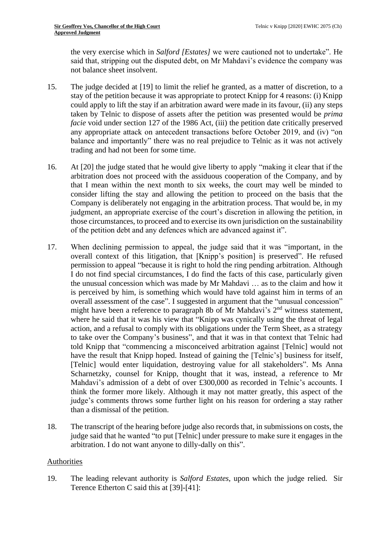the very exercise which in *Salford [Estates]* we were cautioned not to undertake". He said that, stripping out the disputed debt, on Mr Mahdavi's evidence the company was not balance sheet insolvent.

- 15. The judge decided at [19] to limit the relief he granted, as a matter of discretion, to a stay of the petition because it was appropriate to protect Knipp for 4 reasons: (i) Knipp could apply to lift the stay if an arbitration award were made in its favour, (ii) any steps taken by Telnic to dispose of assets after the petition was presented would be *prima facie* void under section 127 of the 1986 Act, (iii) the petition date critically preserved any appropriate attack on antecedent transactions before October 2019, and (iv) "on balance and importantly" there was no real prejudice to Telnic as it was not actively trading and had not been for some time.
- 16. At [20] the judge stated that he would give liberty to apply "making it clear that if the arbitration does not proceed with the assiduous cooperation of the Company, and by that I mean within the next month to six weeks, the court may well be minded to consider lifting the stay and allowing the petition to proceed on the basis that the Company is deliberately not engaging in the arbitration process. That would be, in my judgment, an appropriate exercise of the court's discretion in allowing the petition, in those circumstances, to proceed and to exercise its own jurisdiction on the sustainability of the petition debt and any defences which are advanced against it".
- 17. When declining permission to appeal, the judge said that it was "important, in the overall context of this litigation, that [Knipp's position] is preserved". He refused permission to appeal "because it is right to hold the ring pending arbitration. Although I do not find special circumstances, I do find the facts of this case, particularly given the unusual concession which was made by Mr Mahdavi … as to the claim and how it is perceived by him, is something which would have told against him in terms of an overall assessment of the case". I suggested in argument that the "unusual concession" might have been a reference to paragraph 8b of Mr Mahdavi's 2<sup>nd</sup> witness statement, where he said that it was his view that "Knipp was cynically using the threat of legal action, and a refusal to comply with its obligations under the Term Sheet, as a strategy to take over the Company's business", and that it was in that context that Telnic had told Knipp that "commencing a misconceived arbitration against [Telnic] would not have the result that Knipp hoped. Instead of gaining the [Telnic's] business for itself, [Telnic] would enter liquidation, destroying value for all stakeholders". Ms Anna Scharnetzky, counsel for Knipp, thought that it was, instead, a reference to Mr Mahdavi's admission of a debt of over £300,000 as recorded in Telnic's accounts. I think the former more likely. Although it may not matter greatly, this aspect of the judge's comments throws some further light on his reason for ordering a stay rather than a dismissal of the petition.
- 18. The transcript of the hearing before judge also records that, in submissions on costs, the judge said that he wanted "to put [Telnic] under pressure to make sure it engages in the arbitration. I do not want anyone to dilly-dally on this".

#### Authorities

19. The leading relevant authority is *Salford Estates*, upon which the judge relied. Sir Terence Etherton C said this at [39]-[41]: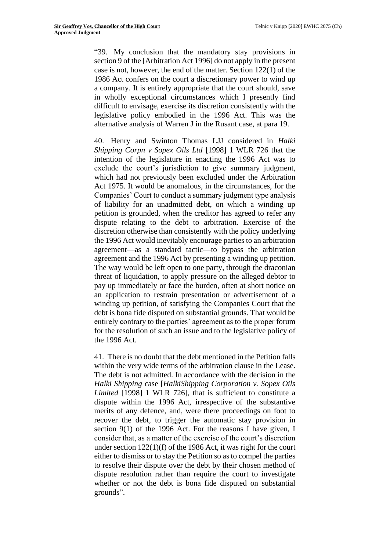"39. My conclusion that the mandatory stay provisions in [section 9](http://uk.westlaw.com/Document/IEE03CF20E44E11DA8D70A0E70A78ED65/View/FullText.html?originationContext=document&transitionType=DocumentItem&vr=3.0&rs=PLUK1.0&contextData=(sc.DocLink)) of the [Arbitration Act 1996] do not apply in the present case is not, however, the end of the matter. [Section 122\(1\)](http://uk.westlaw.com/Document/ID6BFFC70E44A11DA8D70A0E70A78ED65/View/FullText.html?originationContext=document&transitionType=DocumentItem&vr=3.0&rs=PLUK1.0&contextData=(sc.DocLink)) of the 1986 Act confers on the court a discretionary power to wind up a company. It is entirely appropriate that the court should, save in wholly exceptional circumstances which I presently find difficult to envisage, exercise its discretion consistently with the legislative policy embodied in the 1996 Act. This was the alternative analysis of Warren J in the Rusant case, at para 19.

40. Henry and Swinton Thomas LJJ considered in *[Halki](http://uk.westlaw.com/Document/IB8DD0180E42711DA8FC2A0F0355337E9/View/FullText.html?originationContext=document&transitionType=DocumentItem&vr=3.0&rs=PLUK1.0&contextData=(sc.DocLink))  [Shipping Corpn v Sopex Oils Ltd](http://uk.westlaw.com/Document/IB8DD0180E42711DA8FC2A0F0355337E9/View/FullText.html?originationContext=document&transitionType=DocumentItem&vr=3.0&rs=PLUK1.0&contextData=(sc.DocLink))* [1998] 1 WLR 726 that the intention of the legislature in enacting the 1996 Act was to exclude the court's jurisdiction to give summary judgment, which had not previously been excluded under the [Arbitration](http://uk.westlaw.com/Document/I604A6ED1E42311DAA7CF8F68F6EE57AB/View/FullText.html?originationContext=document&transitionType=DocumentItem&vr=3.0&rs=PLUK1.0&contextData=(sc.DocLink))  [Act 1975.](http://uk.westlaw.com/Document/I604A6ED1E42311DAA7CF8F68F6EE57AB/View/FullText.html?originationContext=document&transitionType=DocumentItem&vr=3.0&rs=PLUK1.0&contextData=(sc.DocLink)) It would be anomalous, in the circumstances, for the Companies' Court to conduct a summary judgment type analysis of liability for an unadmitted debt, on which a winding up petition is grounded, when the creditor has agreed to refer any dispute relating to the debt to arbitration. Exercise of the discretion otherwise than consistently with the policy underlying the 1996 Act would inevitably encourage parties to an arbitration agreement—as a standard tactic—to bypass the arbitration agreement and the 1996 Act by presenting a winding up petition. The way would be left open to one party, through the draconian threat of liquidation, to apply pressure on the alleged debtor to pay up immediately or face the burden, often at short notice on an application to restrain presentation or advertisement of a winding up petition, of satisfying the Companies Court that the debt is bona fide disputed on substantial grounds. That would be entirely contrary to the parties' agreement as to the proper forum for the resolution of such an issue and to the legislative policy of the 1996 Act.

41. There is no doubt that the debt mentioned in the Petition falls within the very wide terms of the arbitration clause in the Lease. The debt is not admitted. In accordance with the decision in the *Halki Shipping* case [*HalkiShipping Corporation v. Sopex Oils Limited* [1998] 1 WLR 726], that is sufficient to constitute a dispute within the 1996 Act, irrespective of the substantive merits of any defence, and, were there proceedings on foot to recover the debt, to trigger the automatic stay provision in [section 9\(1\)](http://uk.westlaw.com/Document/IEE03CF20E44E11DA8D70A0E70A78ED65/View/FullText.html?originationContext=document&transitionType=DocumentItem&vr=3.0&rs=PLUK1.0&contextData=(sc.DocLink)) of the 1996 Act. For the reasons I have given, I consider that, as a matter of the exercise of the court's discretion under [section 122\(1\)\(f\)](http://uk.westlaw.com/Document/ID6BFFC70E44A11DA8D70A0E70A78ED65/View/FullText.html?originationContext=document&transitionType=DocumentItem&vr=3.0&rs=PLUK1.0&contextData=(sc.DocLink)) of the 1986 Act, it was right for the court either to dismiss or to stay the Petition so as to compel the parties to resolve their dispute over the debt by their chosen method of dispute resolution rather than require the court to investigate whether or not the debt is bona fide disputed on substantial grounds".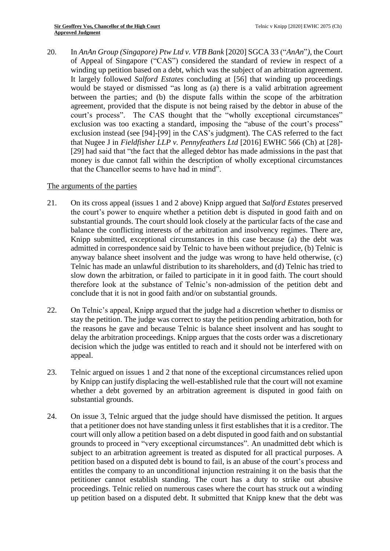20. In *AnAn Group (Singapore) Ptw Ltd v. VTB Bank* [2020] SGCA 33 ("*AnAn*"*)*, the Court of Appeal of Singapore ("CAS") considered the standard of review in respect of a winding up petition based on a debt, which was the subject of an arbitration agreement. It largely followed *Salford Estates* concluding at [56] that winding up proceedings would be stayed or dismissed "as long as (a) there is a valid arbitration agreement between the parties; and (b) the dispute falls within the scope of the arbitration agreement, provided that the dispute is not being raised by the debtor in abuse of the court's process". The CAS thought that the "wholly exceptional circumstances" exclusion was too exacting a standard, imposing the "abuse of the court's process" exclusion instead (see [94]-[99] in the CAS's judgment). The CAS referred to the fact that Nugee J in *Fieldfisher LLP v. Pennyfeathers Ltd* [2016] EWHC 566 (Ch) at [28]- [29] had said that "the fact that the alleged debtor has made admissions in the past that money is due cannot fall within the description of wholly exceptional circumstances that the Chancellor seems to have had in mind".

#### The arguments of the parties

- 21. On its cross appeal (issues 1 and 2 above) Knipp argued that *Salford Estates* preserved the court's power to enquire whether a petition debt is disputed in good faith and on substantial grounds. The court should look closely at the particular facts of the case and balance the conflicting interests of the arbitration and insolvency regimes. There are, Knipp submitted, exceptional circumstances in this case because (a) the debt was admitted in correspondence said by Telnic to have been without prejudice, (b) Telnic is anyway balance sheet insolvent and the judge was wrong to have held otherwise, (c) Telnic has made an unlawful distribution to its shareholders, and (d) Telnic has tried to slow down the arbitration, or failed to participate in it in good faith. The court should therefore look at the substance of Telnic's non-admission of the petition debt and conclude that it is not in good faith and/or on substantial grounds.
- 22. On Telnic's appeal, Knipp argued that the judge had a discretion whether to dismiss or stay the petition. The judge was correct to stay the petition pending arbitration, both for the reasons he gave and because Telnic is balance sheet insolvent and has sought to delay the arbitration proceedings. Knipp argues that the costs order was a discretionary decision which the judge was entitled to reach and it should not be interfered with on appeal.
- 23. Telnic argued on issues 1 and 2 that none of the exceptional circumstances relied upon by Knipp can justify displacing the well-established rule that the court will not examine whether a debt governed by an arbitration agreement is disputed in good faith on substantial grounds.
- 24. On issue 3, Telnic argued that the judge should have dismissed the petition. It argues that a petitioner does not have standing unless it first establishes that it is a creditor. The court will only allow a petition based on a debt disputed in good faith and on substantial grounds to proceed in "very exceptional circumstances". An unadmitted debt which is subject to an arbitration agreement is treated as disputed for all practical purposes. A petition based on a disputed debt is bound to fail, is an abuse of the court's process and entitles the company to an unconditional injunction restraining it on the basis that the petitioner cannot establish standing. The court has a duty to strike out abusive proceedings. Telnic relied on numerous cases where the court has struck out a winding up petition based on a disputed debt. It submitted that Knipp knew that the debt was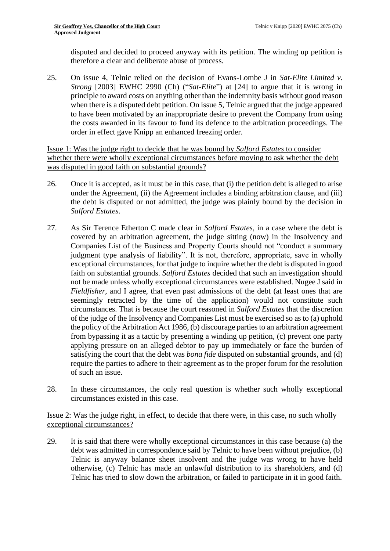disputed and decided to proceed anyway with its petition. The winding up petition is therefore a clear and deliberate abuse of process.

25. On issue 4, Telnic relied on the decision of Evans-Lombe J in *Sat-Elite Limited v. Strong* [2003] EWHC 2990 (Ch) ("*Sat-Elite*") at [24] to argue that it is wrong in principle to award costs on anything other than the indemnity basis without good reason when there is a disputed debt petition. On issue 5, Telnic argued that the judge appeared to have been motivated by an inappropriate desire to prevent the Company from using the costs awarded in its favour to fund its defence to the arbitration proceedings. The order in effect gave Knipp an enhanced freezing order.

Issue 1: Was the judge right to decide that he was bound by *Salford Estates* to consider whether there were wholly exceptional circumstances before moving to ask whether the debt was disputed in good faith on substantial grounds?

- 26. Once it is accepted, as it must be in this case, that (i) the petition debt is alleged to arise under the Agreement, (ii) the Agreement includes a binding arbitration clause, and (iii) the debt is disputed or not admitted, the judge was plainly bound by the decision in *Salford Estates*.
- 27. As Sir Terence Etherton C made clear in *Salford Estates*, in a case where the debt is covered by an arbitration agreement, the judge sitting (now) in the Insolvency and Companies List of the Business and Property Courts should not "conduct a summary judgment type analysis of liability". It is not, therefore, appropriate, save in wholly exceptional circumstances, for that judge to inquire whether the debt is disputed in good faith on substantial grounds. *Salford Estates* decided that such an investigation should not be made unless wholly exceptional circumstances were established. Nugee J said in *Fieldfisher*, and I agree, that even past admissions of the debt (at least ones that are seemingly retracted by the time of the application) would not constitute such circumstances. That is because the court reasoned in *Salford Estates* that the discretion of the judge of the Insolvency and Companies List must be exercised so as to (a) uphold the policy of the Arbitration Act 1986, (b) discourage parties to an arbitration agreement from bypassing it as a tactic by presenting a winding up petition, (c) prevent one party applying pressure on an alleged debtor to pay up immediately or face the burden of satisfying the court that the debt was *bona fide* disputed on substantial grounds, and (d) require the parties to adhere to their agreement as to the proper forum for the resolution of such an issue.
- 28. In these circumstances, the only real question is whether such wholly exceptional circumstances existed in this case.

Issue 2: Was the judge right, in effect, to decide that there were, in this case, no such wholly exceptional circumstances?

29. It is said that there were wholly exceptional circumstances in this case because (a) the debt was admitted in correspondence said by Telnic to have been without prejudice, (b) Telnic is anyway balance sheet insolvent and the judge was wrong to have held otherwise, (c) Telnic has made an unlawful distribution to its shareholders, and (d) Telnic has tried to slow down the arbitration, or failed to participate in it in good faith.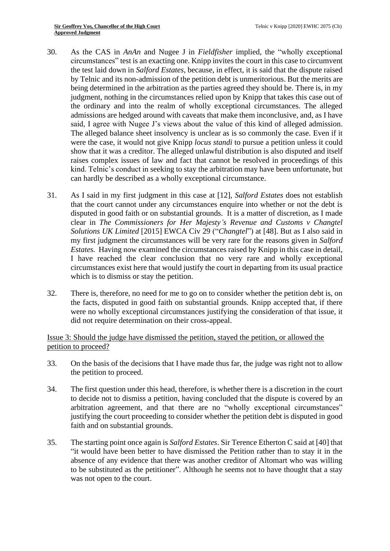- 30. As the CAS in *AnAn* and Nugee J in *Fieldfisher* implied, the "wholly exceptional circumstances" test is an exacting one. Knipp invites the court in this case to circumvent the test laid down in *Salford Estates*, because, in effect, it is said that the dispute raised by Telnic and its non-admission of the petition debt is unmeritorious. But the merits are being determined in the arbitration as the parties agreed they should be. There is, in my judgment, nothing in the circumstances relied upon by Knipp that takes this case out of the ordinary and into the realm of wholly exceptional circumstances. The alleged admissions are hedged around with caveats that make them inconclusive, and, as I have said, I agree with Nugee J's views about the value of this kind of alleged admission. The alleged balance sheet insolvency is unclear as is so commonly the case. Even if it were the case, it would not give Knipp *locus standi* to pursue a petition unless it could show that it was a creditor. The alleged unlawful distribution is also disputed and itself raises complex issues of law and fact that cannot be resolved in proceedings of this kind. Telnic's conduct in seeking to stay the arbitration may have been unfortunate, but can hardly be described as a wholly exceptional circumstance.
- 31. As I said in my first judgment in this case at [12], *Salford Estates* does not establish that the court cannot under any circumstances enquire into whether or not the debt is disputed in good faith or on substantial grounds. It is a matter of discretion, as I made clear in *The Commissioners for Her Majesty's Revenue and Customs v Changtel Solutions UK Limited* [2015] EWCA Civ 29 ("*Changtel*") at [48]. But as I also said in my first judgment the circumstances will be very rare for the reasons given in *Salford Estates.* Having now examined the circumstances raised by Knipp in this case in detail, I have reached the clear conclusion that no very rare and wholly exceptional circumstances exist here that would justify the court in departing from its usual practice which is to dismiss or stay the petition.
- 32. There is, therefore, no need for me to go on to consider whether the petition debt is, on the facts, disputed in good faith on substantial grounds. Knipp accepted that, if there were no wholly exceptional circumstances justifying the consideration of that issue, it did not require determination on their cross-appeal.

Issue 3: Should the judge have dismissed the petition, stayed the petition, or allowed the petition to proceed?

- 33. On the basis of the decisions that I have made thus far, the judge was right not to allow the petition to proceed.
- 34. The first question under this head, therefore, is whether there is a discretion in the court to decide not to dismiss a petition, having concluded that the dispute is covered by an arbitration agreement, and that there are no "wholly exceptional circumstances" justifying the court proceeding to consider whether the petition debt is disputed in good faith and on substantial grounds.
- 35. The starting point once again is *Salford Estates*. Sir Terence Etherton C said at [40] that "it would have been better to have dismissed the Petition rather than to stay it in the absence of any evidence that there was another creditor of Altomart who was willing to be substituted as the petitioner". Although he seems not to have thought that a stay was not open to the court.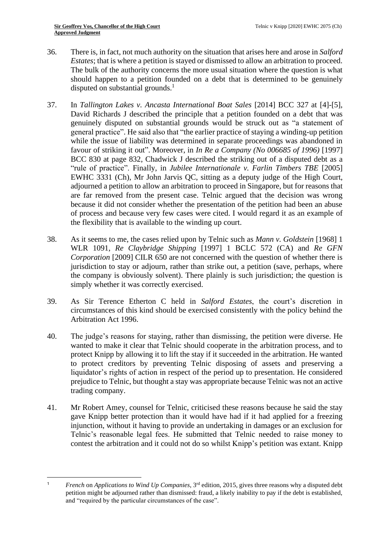- 36. There is, in fact, not much authority on the situation that arises here and arose in *Salford Estates*; that is where a petition is stayed or dismissed to allow an arbitration to proceed. The bulk of the authority concerns the more usual situation where the question is what should happen to a petition founded on a debt that is determined to be genuinely disputed on substantial grounds. $<sup>1</sup>$ </sup>
- 37. In *Tallington Lakes v. Ancasta International Boat Sales* [2014] BCC 327 at [4]-[5], David Richards J described the principle that a petition founded on a debt that was genuinely disputed on substantial grounds would be struck out as "a statement of general practice". He said also that "the earlier practice of staying a winding-up petition while the issue of liability was determined in separate proceedings was abandoned in favour of striking it out". Moreover, in *In Re a Company (No 006685 of 1996)* [1997] BCC 830 at page 832, Chadwick J described the striking out of a disputed debt as a "rule of practice". Finally, in *Jubilee Internationale v. Farlin Timbers TBE* [2005] EWHC 3331 (Ch), Mr John Jarvis QC, sitting as a deputy judge of the High Court, adjourned a petition to allow an arbitration to proceed in Singapore, but for reasons that are far removed from the present case. Telnic argued that the decision was wrong because it did not consider whether the presentation of the petition had been an abuse of process and because very few cases were cited. I would regard it as an example of the flexibility that is available to the winding up court.
- 38. As it seems to me, the cases relied upon by Telnic such as *Mann v. Goldstein* [1968] 1 WLR 1091*, Re Claybridge Shipping* [1997] 1 BCLC 572 (CA) and *Re GFN Corporation* [2009] CILR 650 are not concerned with the question of whether there is jurisdiction to stay or adjourn, rather than strike out, a petition (save, perhaps, where the company is obviously solvent). There plainly is such jurisdiction; the question is simply whether it was correctly exercised.
- 39. As Sir Terence Etherton C held in *Salford Estates*, the court's discretion in circumstances of this kind should be exercised consistently with the policy behind the Arbitration Act 1996.
- 40. The judge's reasons for staying, rather than dismissing, the petition were diverse. He wanted to make it clear that Telnic should cooperate in the arbitration process, and to protect Knipp by allowing it to lift the stay if it succeeded in the arbitration. He wanted to protect creditors by preventing Telnic disposing of assets and preserving a liquidator's rights of action in respect of the period up to presentation. He considered prejudice to Telnic, but thought a stay was appropriate because Telnic was not an active trading company.
- 41. Mr Robert Amey, counsel for Telnic, criticised these reasons because he said the stay gave Knipp better protection than it would have had if it had applied for a freezing injunction, without it having to provide an undertaking in damages or an exclusion for Telnic's reasonable legal fees. He submitted that Telnic needed to raise money to contest the arbitration and it could not do so whilst Knipp's petition was extant. Knipp

<sup>&</sup>lt;sup>1</sup> *French* on *Applications to Wind Up Companies*, 3<sup>rd</sup> edition, 2015, gives three reasons why a disputed debt petition might be adjourned rather than dismissed: fraud, a likely inability to pay if the debt is established, and "required by the particular circumstances of the case".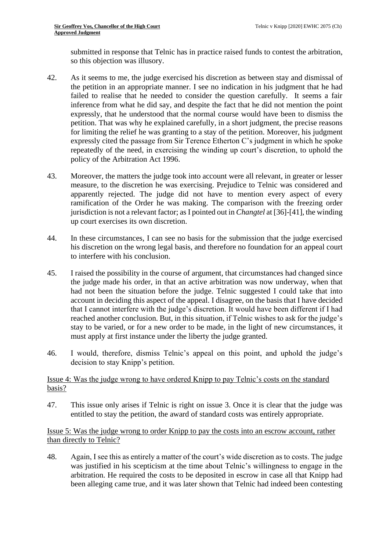submitted in response that Telnic has in practice raised funds to contest the arbitration, so this objection was illusory.

- 42. As it seems to me, the judge exercised his discretion as between stay and dismissal of the petition in an appropriate manner. I see no indication in his judgment that he had failed to realise that he needed to consider the question carefully. It seems a fair inference from what he did say, and despite the fact that he did not mention the point expressly, that he understood that the normal course would have been to dismiss the petition. That was why he explained carefully, in a short judgment, the precise reasons for limiting the relief he was granting to a stay of the petition. Moreover, his judgment expressly cited the passage from Sir Terence Etherton C's judgment in which he spoke repeatedly of the need, in exercising the winding up court's discretion, to uphold the policy of the Arbitration Act 1996.
- 43. Moreover, the matters the judge took into account were all relevant, in greater or lesser measure, to the discretion he was exercising. Prejudice to Telnic was considered and apparently rejected. The judge did not have to mention every aspect of every ramification of the Order he was making. The comparison with the freezing order jurisdiction is not a relevant factor; as I pointed out in *Changtel* at [36]-[41], the winding up court exercises its own discretion.
- 44. In these circumstances, I can see no basis for the submission that the judge exercised his discretion on the wrong legal basis, and therefore no foundation for an appeal court to interfere with his conclusion.
- 45. I raised the possibility in the course of argument, that circumstances had changed since the judge made his order, in that an active arbitration was now underway, when that had not been the situation before the judge. Telnic suggested I could take that into account in deciding this aspect of the appeal. I disagree, on the basis that I have decided that I cannot interfere with the judge's discretion. It would have been different if I had reached another conclusion. But, in this situation, if Telnic wishes to ask for the judge's stay to be varied, or for a new order to be made, in the light of new circumstances, it must apply at first instance under the liberty the judge granted.
- 46. I would, therefore, dismiss Telnic's appeal on this point, and uphold the judge's decision to stay Knipp's petition.

## Issue 4: Was the judge wrong to have ordered Knipp to pay Telnic's costs on the standard basis?

47. This issue only arises if Telnic is right on issue 3. Once it is clear that the judge was entitled to stay the petition, the award of standard costs was entirely appropriate.

Issue 5: Was the judge wrong to order Knipp to pay the costs into an escrow account, rather than directly to Telnic?

48. Again, I see this as entirely a matter of the court's wide discretion as to costs. The judge was justified in his scepticism at the time about Telnic's willingness to engage in the arbitration. He required the costs to be deposited in escrow in case all that Knipp had been alleging came true, and it was later shown that Telnic had indeed been contesting